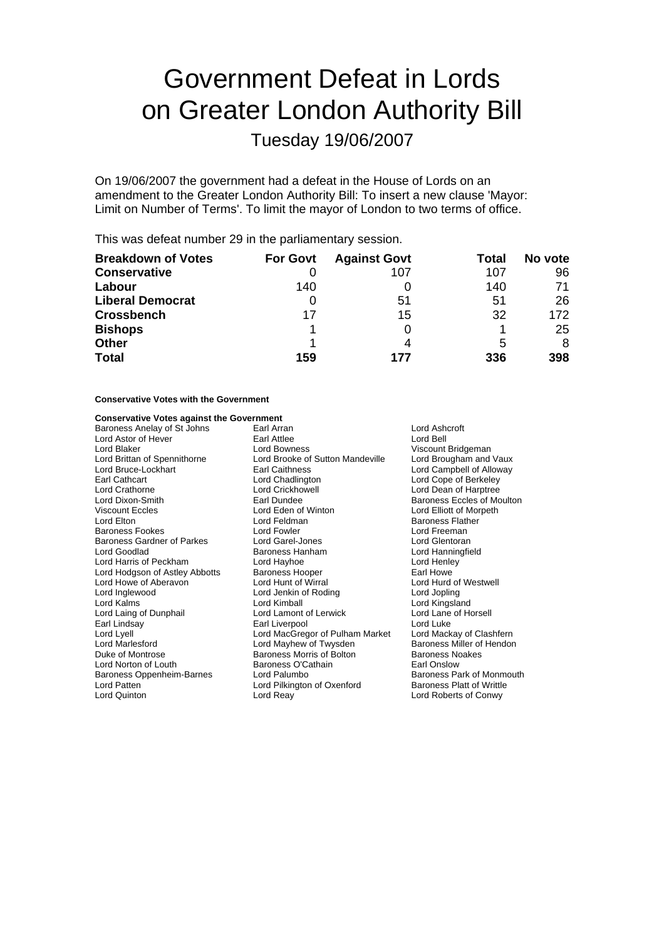# Government Defeat in Lords on Greater London Authority Bill

Tuesday 19/06/2007

On 19/06/2007 the government had a defeat in the House of Lords on an amendment to the Greater London Authority Bill: To insert a new clause 'Mayor: Limit on Number of Terms'. To limit the mayor of London to two terms of office.

This was defeat number 29 in the parliamentary session.

| <b>Breakdown of Votes</b> | <b>For Govt</b> | <b>Against Govt</b> | Total | No vote |
|---------------------------|-----------------|---------------------|-------|---------|
| <b>Conservative</b>       |                 | 107                 | 107   | 96      |
| Labour                    | 140             |                     | 140   | 71      |
| <b>Liberal Democrat</b>   | O               | 51                  | 51    | 26      |
| <b>Crossbench</b>         | 17              | 15                  | 32    | 172     |
| <b>Bishops</b>            |                 |                     |       | 25      |
| <b>Other</b>              |                 |                     | 5     | 8       |
| <b>Total</b>              | 159             | 177                 | 336   | 398     |

#### **Conservative Votes with the Government**

#### **Conservative Votes against the Government**

| Baroness Anelay of St Johns       | Lord Ashcroft<br>Earl Arran      |                                  |
|-----------------------------------|----------------------------------|----------------------------------|
| Lord Astor of Hever               | Earl Attlee                      | Lord Bell                        |
| Lord Blaker                       | Lord Bowness                     | Viscount Bridgeman               |
| Lord Brittan of Spennithorne      | Lord Brooke of Sutton Mandeville | Lord Brougham and Vaux           |
| Lord Bruce-Lockhart               | <b>Earl Caithness</b>            | Lord Campbell of Alloway         |
| Earl Cathcart                     | Lord Chadlington                 | Lord Cope of Berkeley            |
| Lord Crathorne                    | Lord Crickhowell                 | Lord Dean of Harptree            |
| Lord Dixon-Smith                  | Earl Dundee                      | Baroness Eccles of Moulton       |
| <b>Viscount Eccles</b>            | Lord Eden of Winton              | Lord Elliott of Morpeth          |
| Lord Elton                        | Lord Feldman                     | <b>Baroness Flather</b>          |
| <b>Baroness Fookes</b>            | Lord Fowler                      | Lord Freeman                     |
| <b>Baroness Gardner of Parkes</b> | Lord Garel-Jones                 | Lord Glentoran                   |
| Lord Goodlad                      | Baroness Hanham                  | Lord Hanningfield                |
| Lord Harris of Peckham            | Lord Hayhoe                      | Lord Henley                      |
| Lord Hodgson of Astley Abbotts    | <b>Baroness Hooper</b>           | Earl Howe                        |
| Lord Howe of Aberavon             | Lord Hunt of Wirral              | Lord Hurd of Westwell            |
| Lord Inglewood                    | Lord Jenkin of Roding            | Lord Jopling                     |
| Lord Kalms                        | Lord Kimball                     | Lord Kingsland                   |
| Lord Laing of Dunphail            | Lord Lamont of Lerwick           | Lord Lane of Horsell             |
| Earl Lindsay                      | Earl Liverpool                   | Lord Luke                        |
| Lord Lyell                        | Lord MacGregor of Pulham Market  | Lord Mackay of Clashfern         |
| Lord Marlesford                   | Lord Mayhew of Twysden           | Baroness Miller of Hendon        |
| Duke of Montrose                  | Baroness Morris of Bolton        | <b>Baroness Noakes</b>           |
| Lord Norton of Louth              | Baroness O'Cathain               | Earl Onslow                      |
| Baroness Oppenheim-Barnes         | Lord Palumbo                     | Baroness Park of Monmouth        |
| Lord Patten                       | Lord Pilkington of Oxenford      | <b>Baroness Platt of Writtle</b> |
| Lord Quinton                      | Lord Reay                        | Lord Roberts of Conwy            |
|                                   |                                  |                                  |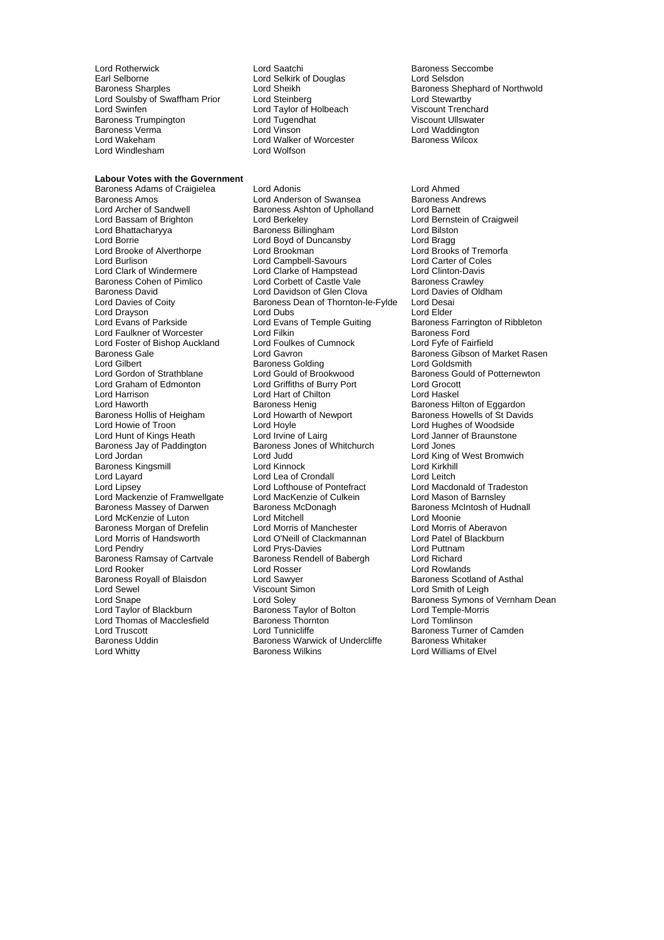Lord Rotherwick Lord Saatchi Baroness Seccombe Earl Selborne **Lord Selkirk of Douglas**<br> **Early** Baroness Sharples<br>
Lord Sheikh Lord Soulsby of Swaffham Prior Lord Steinberg Lord Stewartby<br>
Lord Swinfen Cord Taylor of Holbeach Corporat Trenchard Baroness Trumpington Lord Tugendhat Viscount Ullswater<br>Baroness Vermann Lord Vinson Baroness Verma Lord Vinson Lord Vinson Lord Waddington<br>
Lord Wakeham Lord Walker of Worcester Baroness Wilcox Lord Windlesham

#### **Labour Votes with the Government**

Lord Archer of Sandwell Baroness Ashton of Upholland<br>
Lord Bassam of Brighton<br>
Lord Berkeley Lord Bhattacharyya Lord Clark of Windermere Lord Foster of Bishop Auckland Lord Gilbert **Baroness Golding**<br>
Lord Gordon of Strathblane **Baroness Lord Gould of Brookwood** Baroness Jay of Paddington Baroness Jones of Whitchurch Lord Jones Lord Layard **Land Lord Lea of Crondall**<br>
Lord Lipsev Lord Lofthouse of Pontefract Lord McKenzie of Luton Baroness Ramsay of Cartvale Baroness Rendell Baroness Rendell Baroness Rendell Baroness Rendell Baroness Rendell Baroness Rendell Baroness Rendell Baroness Rendell Baroness Rendell Baroness Rendell Baroness Rendell Barones Lord Thomas of Macclesfield Baroness Thorn<br>
Lord Truscott **Lord Tunnicliffe** Baroness Uddin Baroness Warwick of Undercliffe<br>
Lord Whitty<br>
Baroness Wilkins

Lord Taylor of Holbeach Viscount Trenchard<br>Lord Tugendhat Viscount Ullswater Lord Walker of Worcester<br>Lord Wolfson

Baroness Adams of Craigielea Lord Adonis<br>
Lord Anderson of Swansea Baroness Andrews<br>
Lord Anderson of Swansea Baroness Andrews Baroness Amos<br>
Lord Archer of Sandwell **Exercise Baroness Ashton of Upholland** Lord Barnett Lord Berkeley **Communist Communist Communist Craigweil**<br>
Baroness Billingham **Communist Communist Communist Communist Communist Communist Communist Communist Communist C** Lord Borrie Lord Boyd of Duncansby Lord Bragg Lord Brooke of Alverthorpe Lord Brookman Lord Brooks of Tremorfacture Corpus Lord Brooks of Tremorfacture Corpu<br>Lord Burlison Lord Campbell-Savours Lord Carter of Coles Lord Campbell-Savours Lord Carter of Cole<br>
Lord Clarke of Hampstead
Lord Clinton-Davis Baroness Cohen of Pimlico **Lord Corbett of Castle Vale** Baroness Crawley<br>Baroness David **Baroness** Lord Davidson of Glen Clova Lord Davies of Oldham Baroness David **Lord Davidson of Glen Clova** Lord Davies<br>
Lord Davies of Coity **Collection Collection Caroness Dean of Thornton-le-Fylde** Lord Desai Baroness Dean of Thornton-le-Fylde Lord Drayson **Lord Dubs** Lord Dubs Lord Elder<br>
Lord Evans of Temple Guiting Baroness F Lord Evans of Temple Guiting Baroness Farrington of Ribbleton<br>
Lord Filkin Baroness Ford Lord Faulkner of Worcester Lord Filkin Cord Filkin Cord Baroness Ford Cord Foulkes of Cumnock Lord Fyfe of Fairfield Baroness Gale **Lord Gavron** Carron Baroness Gibson of Market Rasen<br>
Lord Gilbert **Baroness Golding** Baroness Golding<br>
Lord Goldsmith Lord Gordon of Strathblane Lord Gould of Brookwood Baroness Gould of Potternewton<br>
Lord Graham of Edmonton Lord Griffiths of Burry Port Lord Grocott Lord Griffiths of Burry Port Lord Grocott Lord Harrison Lord Hart of Chilton Lord Haskel Lord Haworth **Baroness Henig** Baroness Henig Baroness Hilton of Eggardon<br>Baroness Hollis of Heigham **Baroness Howells of St David** Baroness Hollis of Heigham Lord Howarth of Newport Baroness Howells of St Davids<br>
Lord Howie of Troon Lord Hoyle Cord Hovels and Burd Hughes of Woodside Lord Howie of Troon Lord Hoyle Lord Hoyle Lord Hughes of Woodside<br>
Lord Hunt of Kings Heath Lord Irvine of Lairg Lord Janner of Braunstone Lord Hunt of Kings Heath Lord Lairg Lord Janner of Braunstone<br>Baroness Jav of Paddington Baroness Jones of Whitchurch Lord Jon Baroness Kingsmill Lord Kinnock Lord Kirkhill Lord Lofthouse of Pontefract Lord Macdonald of Tradeston<br>
Lord MacKenzie of Culkein Lord Mason of Barnsley Lord Mackenzie of Framwellgate Lord MacKenzie of Culkein Lord Mason of Barnsley<br>Baroness Massey of Darwen Baroness McDonagh Baroness McIntosh of Hudnall Baroness Massey of Darwen Baroness McDonagh Baroness McGonagh Baroness McGonagh baroness Mc<br>
Lord McKenzie of Luton Lord Michell Baroness McGonagh baroness Mc Baroness Morgan of Drefelin Lord Morris of Manchester **Lord Morris of Aberavon**<br>
Lord Morris of Handsworth Lord O'Neill of Clackmannan Lord Patel of Blackburn Lord O'Neill of Clackmannan Lord Patel of Blackburn<br>Lord Prvs-Davies Lord Puttnam Lord Pendry Lord Prys-Davies Lord Puttnam Lord Rooker (Englished Lord Rosser Lord Rosser Roylands Lord Rowlands Roylands Baroness Scotlands Roylands Baroness Scotlands Lord Rowlands Baroness Scotlands Roylands Baroness Scotlands Roylands Baroness Scotlands Royland Lord Sawyer **Baroness Scotland of Asthal**<br>
Viscount Simon **Contain Lord Smith of Leigh** Lord Sewel **Contains Account Simon** Contains the Unit Simon Contains the Lord Smith of Leigh Lord Soley Baroness Symons of Bolton Baroness Taylor of Bolton Lord Temple-Morris<br>
Baroness Thornton Lord Tomlinson Lord Truscott<br>
Lord Tunnicliffe Baroness Turner of Camden<br>
Baroness Warwick of Undercliffe Baroness Whitaker

Lord Sheikh **Baroness Shephard of Northwold**<br>
Lord Steinberg<br>
Lord Stewartby

Lord King of West Bromwich Lord Snape Lord Soley Cord Soley Baroness Symons of Vernham Dean<br>
Lord Taylor of Blackburn Baroness Taylor of Bolton Lord Temple-Morris Lord Williams of Elvel